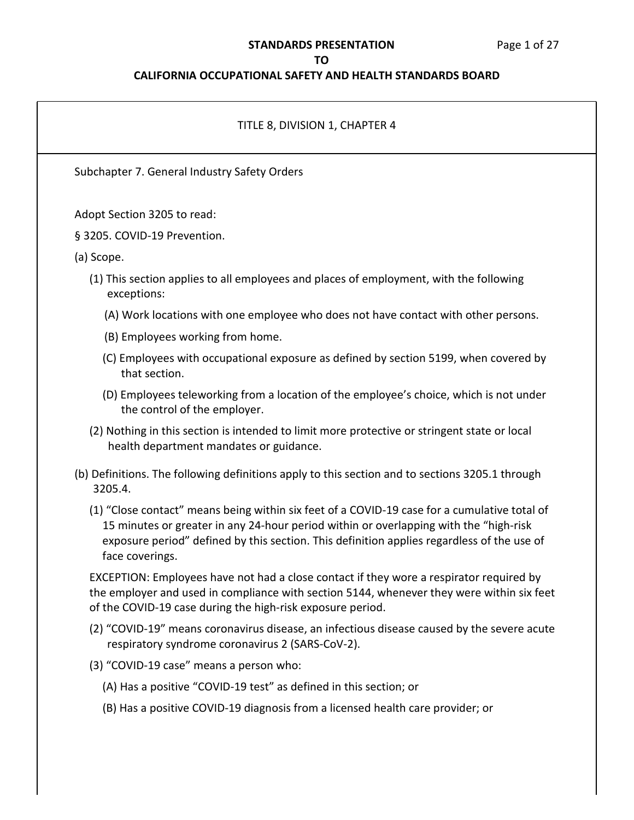### **STANDARDS PRESENTATION** Page 1 of 27

#### **TO**

### **CALIFORNIA OCCUPATIONAL SAFETY AND HEALTH STANDARDS BOARD**

# TITLE 8, DIVISION 1, CHAPTER 4 Subchapter 7. General Industry Safety Orders Adopt Section 3205 to read: § 3205. COVID-19 Prevention. (a) Scope. (1) This section applies to all employees and places of employment, with the following exceptions: (A) Work locations with one employee who does not have contact with other persons. (B) Employees working from home. (C) Employees with occupational exposure as defined by section 5199, when covered by that section. (D) Employees teleworking from a location of the employee's choice, which is not under the control of the employer. (2) Nothing in this section is intended to limit more protective or stringent state or local health department mandates or guidance. (b) Definitions. The following definitions apply to this section and to sections 3205.1 through 3205.4. (1) "Close contact" means being within six feet of a COVID-19 case for a cumulative total of 15 minutes or greater in any 24-hour period within or overlapping with the "high-risk exposure period" defined by this section. This definition applies regardless of the use of face coverings. EXCEPTION: Employees have not had a close contact if they wore a respirator required by the employer and used in compliance with section 5144, whenever they were within six feet of the COVID-19 case during the high-risk exposure period. (2) "COVID-19" means coronavirus disease, an infectious disease caused by the severe acute respiratory syndrome coronavirus 2 (SARS-CoV-2). (3) "COVID-19 case" means a person who: (A) Has a positive "COVID-19 test" as defined in this section; or (B) Has a positive COVID-19 diagnosis from a licensed health care provider; or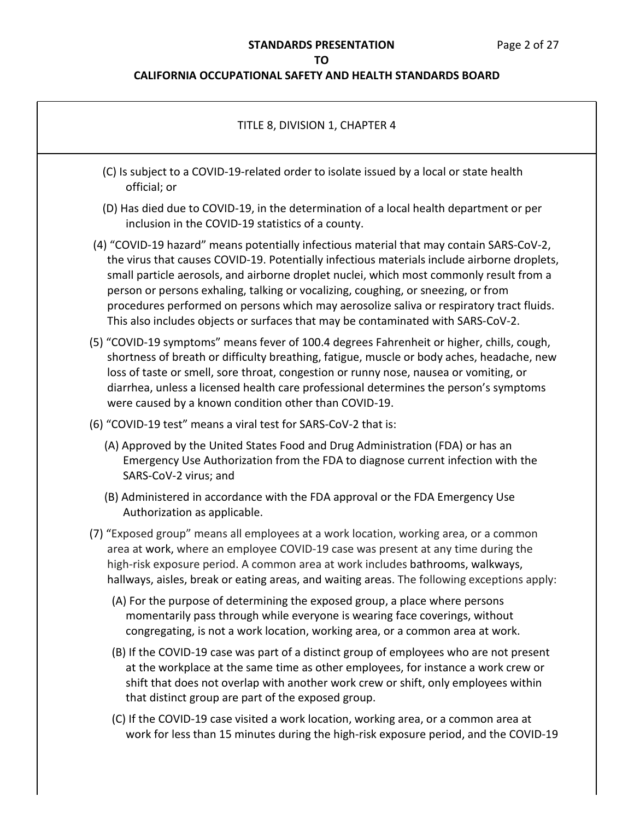## **STANDARDS PRESENTATION** Page 2 of 27

## **TO**

| TITLE 8, DIVISION 1, CHAPTER 4                                                                                                                                                                                                                                                                                                                                                                                                                                                                                                                          |  |
|---------------------------------------------------------------------------------------------------------------------------------------------------------------------------------------------------------------------------------------------------------------------------------------------------------------------------------------------------------------------------------------------------------------------------------------------------------------------------------------------------------------------------------------------------------|--|
| (C) Is subject to a COVID-19-related order to isolate issued by a local or state health<br>official; or                                                                                                                                                                                                                                                                                                                                                                                                                                                 |  |
| (D) Has died due to COVID-19, in the determination of a local health department or per<br>inclusion in the COVID-19 statistics of a county.                                                                                                                                                                                                                                                                                                                                                                                                             |  |
| (4) "COVID-19 hazard" means potentially infectious material that may contain SARS-CoV-2,<br>the virus that causes COVID-19. Potentially infectious materials include airborne droplets,<br>small particle aerosols, and airborne droplet nuclei, which most commonly result from a<br>person or persons exhaling, talking or vocalizing, coughing, or sneezing, or from<br>procedures performed on persons which may aerosolize saliva or respiratory tract fluids.<br>This also includes objects or surfaces that may be contaminated with SARS-CoV-2. |  |
| (5) "COVID-19 symptoms" means fever of 100.4 degrees Fahrenheit or higher, chills, cough,<br>shortness of breath or difficulty breathing, fatigue, muscle or body aches, headache, new<br>loss of taste or smell, sore throat, congestion or runny nose, nausea or vomiting, or<br>diarrhea, unless a licensed health care professional determines the person's symptoms<br>were caused by a known condition other than COVID-19.                                                                                                                       |  |
| (6) "COVID-19 test" means a viral test for SARS-CoV-2 that is:                                                                                                                                                                                                                                                                                                                                                                                                                                                                                          |  |
| (A) Approved by the United States Food and Drug Administration (FDA) or has an<br>Emergency Use Authorization from the FDA to diagnose current infection with the<br>SARS-CoV-2 virus; and                                                                                                                                                                                                                                                                                                                                                              |  |
| (B) Administered in accordance with the FDA approval or the FDA Emergency Use<br>Authorization as applicable.                                                                                                                                                                                                                                                                                                                                                                                                                                           |  |
| (7) "Exposed group" means all employees at a work location, working area, or a common<br>area at work, where an employee COVID-19 case was present at any time during the<br>high-risk exposure period. A common area at work includes bathrooms, walkways,<br>hallways, aisles, break or eating areas, and waiting areas. The following exceptions apply:                                                                                                                                                                                              |  |
| (A) For the purpose of determining the exposed group, a place where persons<br>momentarily pass through while everyone is wearing face coverings, without<br>congregating, is not a work location, working area, or a common area at work.                                                                                                                                                                                                                                                                                                              |  |
| (B) If the COVID-19 case was part of a distinct group of employees who are not present<br>at the workplace at the same time as other employees, for instance a work crew or<br>shift that does not overlap with another work crew or shift, only employees within<br>that distinct group are part of the exposed group.                                                                                                                                                                                                                                 |  |
| (C) If the COVID-19 case visited a work location, working area, or a common area at<br>work for less than 15 minutes during the high-risk exposure period, and the COVID-19                                                                                                                                                                                                                                                                                                                                                                             |  |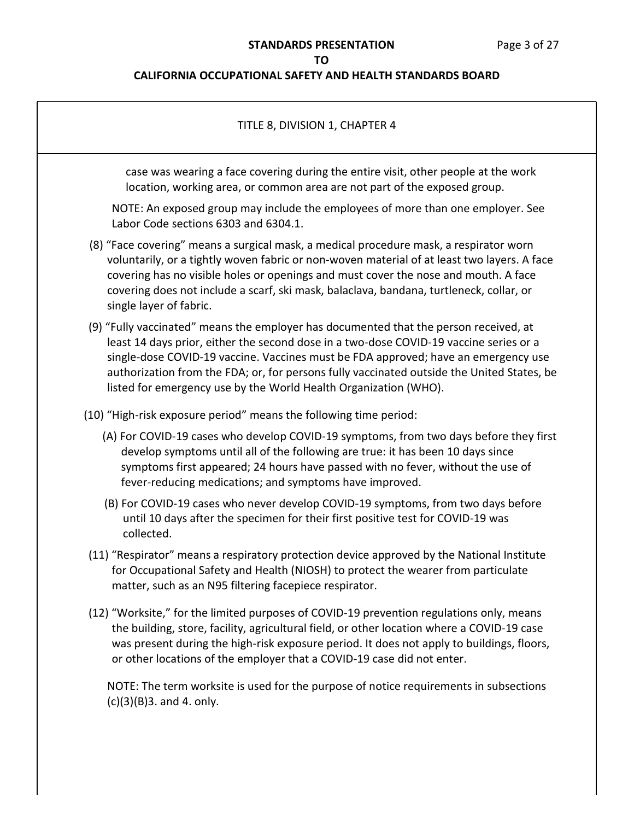### **CALIFORNIA OCCUPATIONAL SAFETY AND HEALTH STANDARDS BOARD**

# TITLE 8, DIVISION 1, CHAPTER 4 case was wearing a face covering during the entire visit, other people at the work location, working area, or common area are not part of the exposed group. NOTE: An exposed group may include the employees of more than one employer. See Labor Code sections 6303 and 6304.1. (8) "Face covering" means a surgical mask, a medical procedure mask, a respirator worn voluntarily, or a tightly woven fabric or non-woven material of at least two layers. A face covering has no visible holes or openings and must cover the nose and mouth. A face covering does not include a scarf, ski mask, balaclava, bandana, turtleneck, collar, or single layer of fabric. (9) "Fully vaccinated" means the employer has documented that the person received, at least 14 days prior, either the second dose in a two-dose COVID-19 vaccine series or a single-dose COVID-19 vaccine. Vaccines must be FDA approved; have an emergency use authorization from the FDA; or, for persons fully vaccinated outside the United States, be listed for emergency use by the World Health Organization (WHO). (10) "High-risk exposure period" means the following time period: (A) For COVID-19 cases who develop COVID-19 symptoms, from two days before they first develop symptoms until all of the following are true: it has been 10 days since symptoms first appeared; 24 hours have passed with no fever, without the use of fever-reducing medications; and symptoms have improved. (B) For COVID-19 cases who never develop COVID-19 symptoms, from two days before until 10 days after the specimen for their first positive test for COVID-19 was collected. (11) "Respirator" means a respiratory protection device approved by the National Institute for Occupational Safety and Health (NIOSH) to protect the wearer from particulate matter, such as an N95 filtering facepiece respirator. (12) "Worksite," for the limited purposes of COVID-19 prevention regulations only, means the building, store, facility, agricultural field, or other location where a COVID-19 case was present during the high-risk exposure period. It does not apply to buildings, floors, or other locations of the employer that a COVID-19 case did not enter. NOTE: The term worksite is used for the purpose of notice requirements in subsections  $(c)(3)(B)3.$  and 4. only.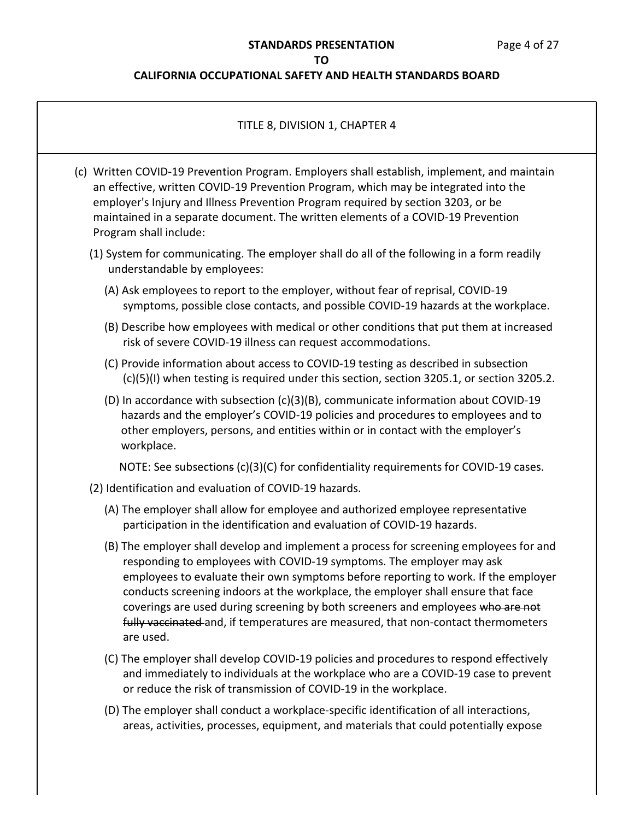### **CALIFORNIA OCCUPATIONAL SAFETY AND HEALTH STANDARDS BOARD**

### TITLE 8, DIVISION 1, CHAPTER 4

- (c) Written COVID-19 Prevention Program. Employers shall establish, implement, and maintain an effective, written COVID-19 Prevention Program, which may be integrated into the employer's Injury and Illness Prevention Program required by section 3203, or be maintained in a separate document. The written elements of a COVID-19 Prevention Program shall include:
	- (1) System for communicating. The employer shall do all of the following in a form readily understandable by employees:
		- (A) Ask employees to report to the employer, without fear of reprisal, COVID-19 symptoms, possible close contacts, and possible COVID-19 hazards at the workplace.
		- (B) Describe how employees with medical or other conditions that put them at increased risk of severe COVID-19 illness can request accommodations.
		- (C) Provide information about access to COVID-19 testing as described in subsection (c)(5)(I) when testing is required under this section, section 3205.1, or section 3205.2.
		- (D) In accordance with subsection (c)(3)(B), communicate information about COVID-19 hazards and the employer's COVID-19 policies and procedures to employees and to other employers, persons, and entities within or in contact with the employer's workplace.

NOTE: See subsections (c)(3)(C) for confidentiality requirements for COVID-19 cases.

- (2) Identification and evaluation of COVID-19 hazards.
	- (A) The employer shall allow for employee and authorized employee representative participation in the identification and evaluation of COVID-19 hazards.
	- (B) The employer shall develop and implement a process for screening employees for and responding to employees with COVID-19 symptoms. The employer may ask employees to evaluate their own symptoms before reporting to work. If the employer conducts screening indoors at the workplace, the employer shall ensure that face coverings are used during screening by both screeners and employees who are not fully vaccinated and, if temperatures are measured, that non-contact thermometers are used.
	- (C) The employer shall develop COVID-19 policies and procedures to respond effectively and immediately to individuals at the workplace who are a COVID-19 case to prevent or reduce the risk of transmission of COVID-19 in the workplace.
	- (D) The employer shall conduct a workplace-specific identification of all interactions, areas, activities, processes, equipment, and materials that could potentially expose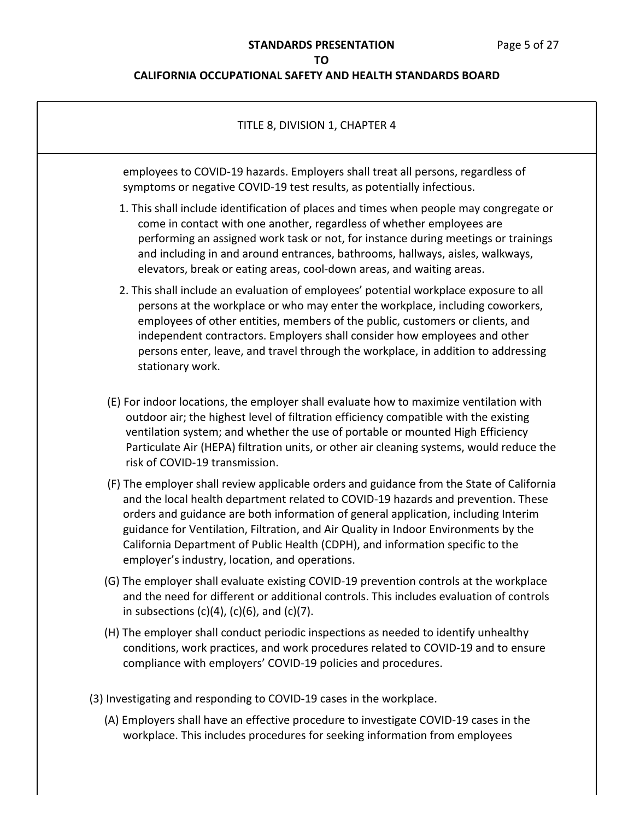## **CALIFORNIA OCCUPATIONAL SAFETY AND HEALTH STANDARDS BOARD**

| TITLE 8, DIVISION 1, CHAPTER 4                                                                                                                                                                                                                                                                                                                                                                                                                                                                  |
|-------------------------------------------------------------------------------------------------------------------------------------------------------------------------------------------------------------------------------------------------------------------------------------------------------------------------------------------------------------------------------------------------------------------------------------------------------------------------------------------------|
| employees to COVID-19 hazards. Employers shall treat all persons, regardless of<br>symptoms or negative COVID-19 test results, as potentially infectious.                                                                                                                                                                                                                                                                                                                                       |
| 1. This shall include identification of places and times when people may congregate or<br>come in contact with one another, regardless of whether employees are<br>performing an assigned work task or not, for instance during meetings or trainings<br>and including in and around entrances, bathrooms, hallways, aisles, walkways,<br>elevators, break or eating areas, cool-down areas, and waiting areas.                                                                                 |
| 2. This shall include an evaluation of employees' potential workplace exposure to all<br>persons at the workplace or who may enter the workplace, including coworkers,<br>employees of other entities, members of the public, customers or clients, and<br>independent contractors. Employers shall consider how employees and other<br>persons enter, leave, and travel through the workplace, in addition to addressing<br>stationary work.                                                   |
| (E) For indoor locations, the employer shall evaluate how to maximize ventilation with<br>outdoor air; the highest level of filtration efficiency compatible with the existing<br>ventilation system; and whether the use of portable or mounted High Efficiency<br>Particulate Air (HEPA) filtration units, or other air cleaning systems, would reduce the<br>risk of COVID-19 transmission.                                                                                                  |
| (F) The employer shall review applicable orders and guidance from the State of California<br>and the local health department related to COVID-19 hazards and prevention. These<br>orders and guidance are both information of general application, including Interim<br>guidance for Ventilation, Filtration, and Air Quality in Indoor Environments by the<br>California Department of Public Health (CDPH), and information specific to the<br>employer's industry, location, and operations. |
| (G) The employer shall evaluate existing COVID-19 prevention controls at the workplace<br>and the need for different or additional controls. This includes evaluation of controls<br>in subsections $(c)(4)$ , $(c)(6)$ , and $(c)(7)$ .                                                                                                                                                                                                                                                        |
| (H) The employer shall conduct periodic inspections as needed to identify unhealthy<br>conditions, work practices, and work procedures related to COVID-19 and to ensure<br>compliance with employers' COVID-19 policies and procedures.                                                                                                                                                                                                                                                        |
| (3) Investigating and responding to COVID-19 cases in the workplace.                                                                                                                                                                                                                                                                                                                                                                                                                            |
| (A) Employers shall have an effective procedure to investigate COVID-19 cases in the                                                                                                                                                                                                                                                                                                                                                                                                            |

workplace. This includes procedures for seeking information from employees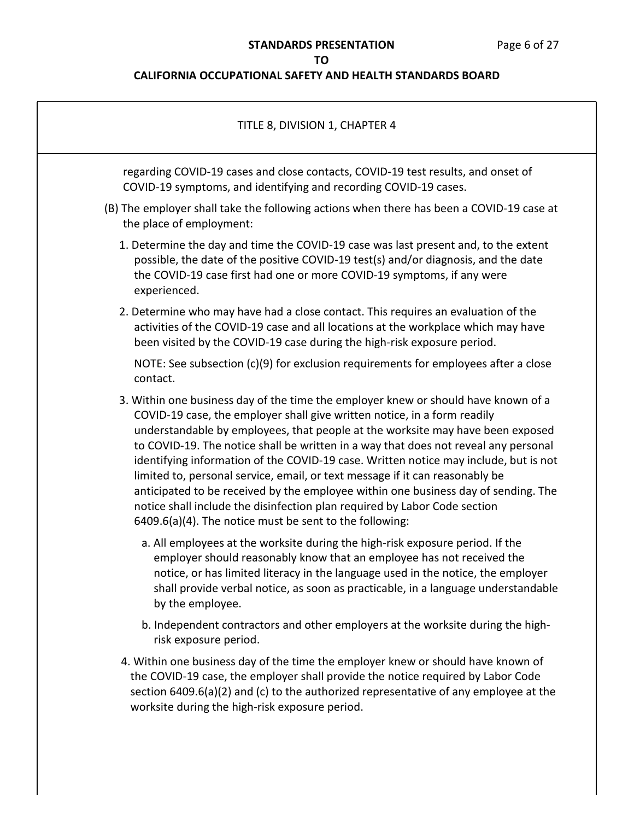# **STANDARDS PRESENTATION** Page 6 of 27

### **TO**

| TITLE 8, DIVISION 1, CHAPTER 4                                                                                                                                                                                                                                                                                                                                                                                                                                                                                                                                                                                                                                                                                                                |  |
|-----------------------------------------------------------------------------------------------------------------------------------------------------------------------------------------------------------------------------------------------------------------------------------------------------------------------------------------------------------------------------------------------------------------------------------------------------------------------------------------------------------------------------------------------------------------------------------------------------------------------------------------------------------------------------------------------------------------------------------------------|--|
| regarding COVID-19 cases and close contacts, COVID-19 test results, and onset of<br>COVID-19 symptoms, and identifying and recording COVID-19 cases.                                                                                                                                                                                                                                                                                                                                                                                                                                                                                                                                                                                          |  |
| (B) The employer shall take the following actions when there has been a COVID-19 case at<br>the place of employment:                                                                                                                                                                                                                                                                                                                                                                                                                                                                                                                                                                                                                          |  |
| 1. Determine the day and time the COVID-19 case was last present and, to the extent<br>possible, the date of the positive COVID-19 test(s) and/or diagnosis, and the date<br>the COVID-19 case first had one or more COVID-19 symptoms, if any were<br>experienced.                                                                                                                                                                                                                                                                                                                                                                                                                                                                           |  |
| 2. Determine who may have had a close contact. This requires an evaluation of the<br>activities of the COVID-19 case and all locations at the workplace which may have<br>been visited by the COVID-19 case during the high-risk exposure period.                                                                                                                                                                                                                                                                                                                                                                                                                                                                                             |  |
| NOTE: See subsection $(c)(9)$ for exclusion requirements for employees after a close<br>contact.                                                                                                                                                                                                                                                                                                                                                                                                                                                                                                                                                                                                                                              |  |
| 3. Within one business day of the time the employer knew or should have known of a<br>COVID-19 case, the employer shall give written notice, in a form readily<br>understandable by employees, that people at the worksite may have been exposed<br>to COVID-19. The notice shall be written in a way that does not reveal any personal<br>identifying information of the COVID-19 case. Written notice may include, but is not<br>limited to, personal service, email, or text message if it can reasonably be<br>anticipated to be received by the employee within one business day of sending. The<br>notice shall include the disinfection plan required by Labor Code section<br>6409.6(a)(4). The notice must be sent to the following: |  |
| a. All employees at the worksite during the high-risk exposure period. If the<br>employer should reasonably know that an employee has not received the<br>notice, or has limited literacy in the language used in the notice, the employer<br>shall provide verbal notice, as soon as practicable, in a language understandable<br>by the employee.                                                                                                                                                                                                                                                                                                                                                                                           |  |
| b. Independent contractors and other employers at the worksite during the high-<br>risk exposure period.                                                                                                                                                                                                                                                                                                                                                                                                                                                                                                                                                                                                                                      |  |
| 4. Within one business day of the time the employer knew or should have known of<br>the COVID-19 case, the employer shall provide the notice required by Labor Code<br>section 6409.6(a)(2) and (c) to the authorized representative of any employee at the<br>worksite during the high-risk exposure period.                                                                                                                                                                                                                                                                                                                                                                                                                                 |  |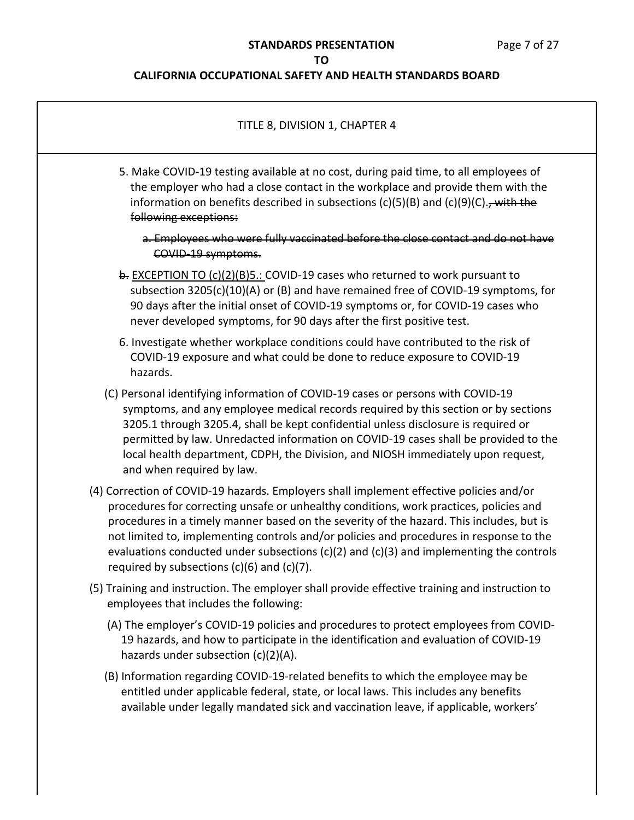| TITLE 8, DIVISION 1, CHAPTER 4                                                                                                                                                                                                                                                                                                                                                                                                                                                                                         |
|------------------------------------------------------------------------------------------------------------------------------------------------------------------------------------------------------------------------------------------------------------------------------------------------------------------------------------------------------------------------------------------------------------------------------------------------------------------------------------------------------------------------|
| 5. Make COVID-19 testing available at no cost, during paid time, to all employees of<br>the employer who had a close contact in the workplace and provide them with the<br>information on benefits described in subsections (c)(5)(B) and (c)(9)(C) $\frac{1}{2}$ , with the<br>following exceptions:                                                                                                                                                                                                                  |
| a. Employees who were fully vaccinated before the close contact and do not have<br>COVID-19 symptoms.                                                                                                                                                                                                                                                                                                                                                                                                                  |
| b. EXCEPTION TO (c)(2)(B)5.: COVID-19 cases who returned to work pursuant to<br>subsection 3205(c)(10)(A) or (B) and have remained free of COVID-19 symptoms, for<br>90 days after the initial onset of COVID-19 symptoms or, for COVID-19 cases who<br>never developed symptoms, for 90 days after the first positive test.                                                                                                                                                                                           |
| 6. Investigate whether workplace conditions could have contributed to the risk of<br>COVID-19 exposure and what could be done to reduce exposure to COVID-19<br>hazards.                                                                                                                                                                                                                                                                                                                                               |
| (C) Personal identifying information of COVID-19 cases or persons with COVID-19<br>symptoms, and any employee medical records required by this section or by sections<br>3205.1 through 3205.4, shall be kept confidential unless disclosure is required or<br>permitted by law. Unredacted information on COVID-19 cases shall be provided to the<br>local health department, CDPH, the Division, and NIOSH immediately upon request,<br>and when required by law.                                                    |
| (4) Correction of COVID-19 hazards. Employers shall implement effective policies and/or<br>procedures for correcting unsafe or unhealthy conditions, work practices, policies and<br>procedures in a timely manner based on the severity of the hazard. This includes, but is<br>not limited to, implementing controls and/or policies and procedures in response to the<br>evaluations conducted under subsections (c)(2) and (c)(3) and implementing the controls<br>required by subsections $(c)(6)$ and $(c)(7)$ . |
| (5) Training and instruction. The employer shall provide effective training and instruction to<br>employees that includes the following:                                                                                                                                                                                                                                                                                                                                                                               |
| (A) The employer's COVID-19 policies and procedures to protect employees from COVID-<br>19 hazards, and how to participate in the identification and evaluation of COVID-19<br>hazards under subsection (c)(2)(A).                                                                                                                                                                                                                                                                                                     |
| (B) Information regarding COVID-19-related benefits to which the employee may be<br>entitled under applicable federal, state, or local laws. This includes any benefits<br>available under legally mandated sick and vaccination leave, if applicable, workers'                                                                                                                                                                                                                                                        |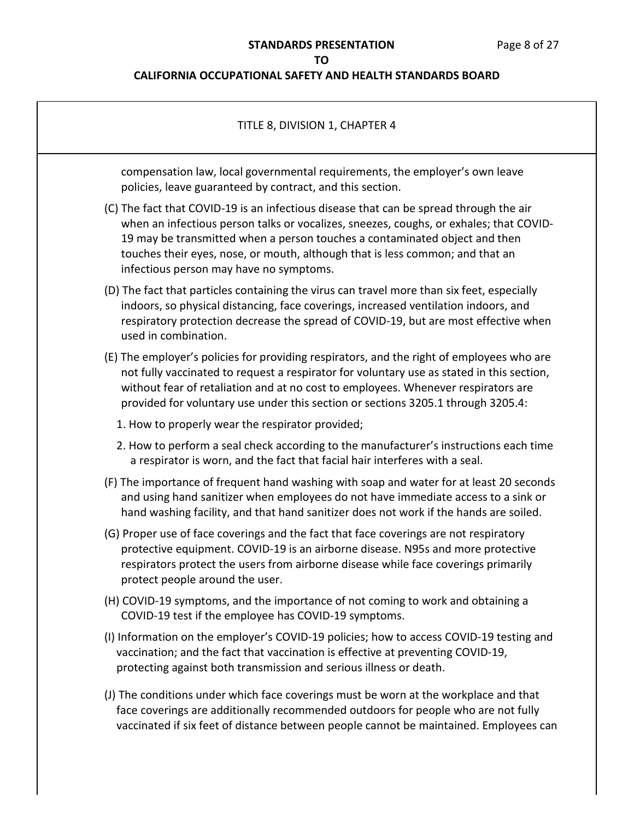| TITLE 8, DIVISION 1, CHAPTER 4                                                                                                                                                                                                                                                                                                                                                             |
|--------------------------------------------------------------------------------------------------------------------------------------------------------------------------------------------------------------------------------------------------------------------------------------------------------------------------------------------------------------------------------------------|
| compensation law, local governmental requirements, the employer's own leave<br>policies, leave guaranteed by contract, and this section.                                                                                                                                                                                                                                                   |
| (C) The fact that COVID-19 is an infectious disease that can be spread through the air<br>when an infectious person talks or vocalizes, sneezes, coughs, or exhales; that COVID-<br>19 may be transmitted when a person touches a contaminated object and then<br>touches their eyes, nose, or mouth, although that is less common; and that an<br>infectious person may have no symptoms. |
| (D) The fact that particles containing the virus can travel more than six feet, especially<br>indoors, so physical distancing, face coverings, increased ventilation indoors, and<br>respiratory protection decrease the spread of COVID-19, but are most effective when<br>used in combination.                                                                                           |
| (E) The employer's policies for providing respirators, and the right of employees who are<br>not fully vaccinated to request a respirator for voluntary use as stated in this section,<br>without fear of retaliation and at no cost to employees. Whenever respirators are<br>provided for voluntary use under this section or sections 3205.1 through 3205.4:                            |
| 1. How to properly wear the respirator provided;                                                                                                                                                                                                                                                                                                                                           |
| 2. How to perform a seal check according to the manufacturer's instructions each time<br>a respirator is worn, and the fact that facial hair interferes with a seal.                                                                                                                                                                                                                       |
| (F) The importance of frequent hand washing with soap and water for at least 20 seconds<br>and using hand sanitizer when employees do not have immediate access to a sink or<br>hand washing facility, and that hand sanitizer does not work if the hands are soiled.                                                                                                                      |
| (G) Proper use of face coverings and the fact that face coverings are not respiratory<br>protective equipment. COVID-19 is an airborne disease. N95s and more protective<br>respirators protect the users from airborne disease while face coverings primarily<br>protect people around the user.                                                                                          |
| (H) COVID-19 symptoms, and the importance of not coming to work and obtaining a<br>COVID-19 test if the employee has COVID-19 symptoms.                                                                                                                                                                                                                                                    |
| (I) Information on the employer's COVID-19 policies; how to access COVID-19 testing and<br>vaccination; and the fact that vaccination is effective at preventing COVID-19,<br>protecting against both transmission and serious illness or death.                                                                                                                                           |
| (J) The conditions under which face coverings must be worn at the workplace and that<br>face coverings are additionally recommended outdoors for people who are not fully<br>vaccinated if six feet of distance between people cannot be maintained. Employees can                                                                                                                         |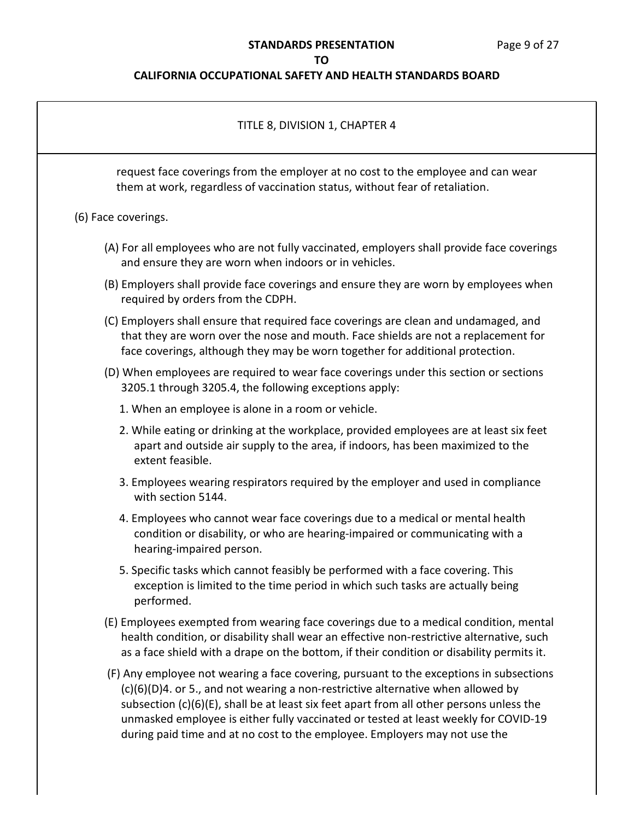### **STANDARDS PRESENTATION** Page 9 of 27

### **TO**

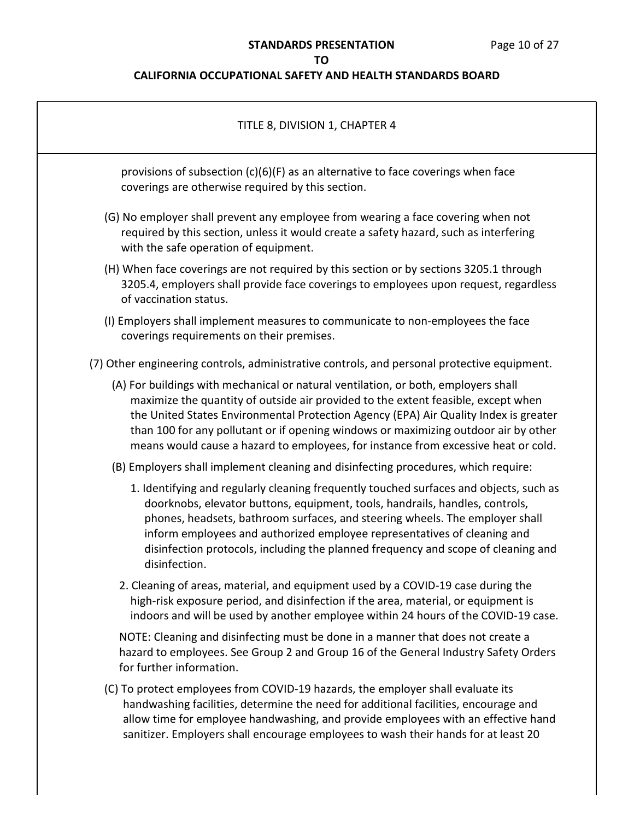# **STANDARDS PRESENTATION** Page 10 of 27

## **TO**

| TITLE 8, DIVISION 1, CHAPTER 4                                                                                                                                                                                                                                                                                                                                                                                                               |  |
|----------------------------------------------------------------------------------------------------------------------------------------------------------------------------------------------------------------------------------------------------------------------------------------------------------------------------------------------------------------------------------------------------------------------------------------------|--|
| provisions of subsection (c)(6)(F) as an alternative to face coverings when face<br>coverings are otherwise required by this section.                                                                                                                                                                                                                                                                                                        |  |
| (G) No employer shall prevent any employee from wearing a face covering when not<br>required by this section, unless it would create a safety hazard, such as interfering<br>with the safe operation of equipment.                                                                                                                                                                                                                           |  |
| (H) When face coverings are not required by this section or by sections 3205.1 through<br>3205.4, employers shall provide face coverings to employees upon request, regardless<br>of vaccination status.                                                                                                                                                                                                                                     |  |
| (I) Employers shall implement measures to communicate to non-employees the face<br>coverings requirements on their premises.                                                                                                                                                                                                                                                                                                                 |  |
| (7) Other engineering controls, administrative controls, and personal protective equipment.                                                                                                                                                                                                                                                                                                                                                  |  |
| (A) For buildings with mechanical or natural ventilation, or both, employers shall<br>maximize the quantity of outside air provided to the extent feasible, except when<br>the United States Environmental Protection Agency (EPA) Air Quality Index is greater<br>than 100 for any pollutant or if opening windows or maximizing outdoor air by other<br>means would cause a hazard to employees, for instance from excessive heat or cold. |  |
| (B) Employers shall implement cleaning and disinfecting procedures, which require:                                                                                                                                                                                                                                                                                                                                                           |  |
| 1. Identifying and regularly cleaning frequently touched surfaces and objects, such as<br>doorknobs, elevator buttons, equipment, tools, handrails, handles, controls,<br>phones, headsets, bathroom surfaces, and steering wheels. The employer shall<br>inform employees and authorized employee representatives of cleaning and<br>disinfection protocols, including the planned frequency and scope of cleaning and<br>disinfection.     |  |
| 2. Cleaning of areas, material, and equipment used by a COVID-19 case during the<br>high-risk exposure period, and disinfection if the area, material, or equipment is<br>indoors and will be used by another employee within 24 hours of the COVID-19 case.                                                                                                                                                                                 |  |
| NOTE: Cleaning and disinfecting must be done in a manner that does not create a<br>hazard to employees. See Group 2 and Group 16 of the General Industry Safety Orders<br>for further information.                                                                                                                                                                                                                                           |  |
| (C) To protect employees from COVID-19 hazards, the employer shall evaluate its<br>handwashing facilities, determine the need for additional facilities, encourage and<br>allow time for employee handwashing, and provide employees with an effective hand<br>sanitizer. Employers shall encourage employees to wash their hands for at least 20                                                                                            |  |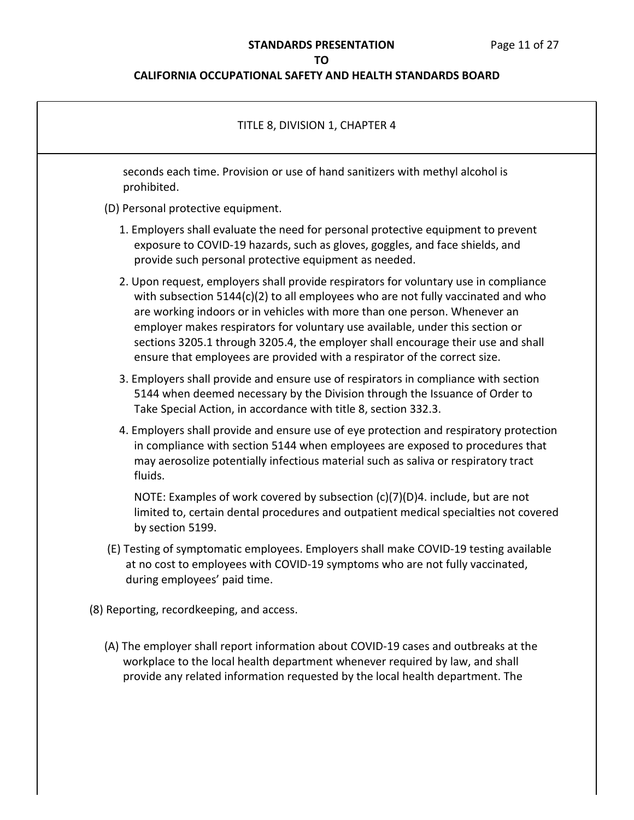# **STANDARDS PRESENTATION** Page 11 of 27

## **TO**

| TITLE 8, DIVISION 1, CHAPTER 4                                                                                                                                                                                                                                                                                                                                                                                                                                                                          |  |
|---------------------------------------------------------------------------------------------------------------------------------------------------------------------------------------------------------------------------------------------------------------------------------------------------------------------------------------------------------------------------------------------------------------------------------------------------------------------------------------------------------|--|
| seconds each time. Provision or use of hand sanitizers with methyl alcohol is<br>prohibited.                                                                                                                                                                                                                                                                                                                                                                                                            |  |
| (D) Personal protective equipment.                                                                                                                                                                                                                                                                                                                                                                                                                                                                      |  |
| 1. Employers shall evaluate the need for personal protective equipment to prevent<br>exposure to COVID-19 hazards, such as gloves, goggles, and face shields, and<br>provide such personal protective equipment as needed.                                                                                                                                                                                                                                                                              |  |
| 2. Upon request, employers shall provide respirators for voluntary use in compliance<br>with subsection 5144(c)(2) to all employees who are not fully vaccinated and who<br>are working indoors or in vehicles with more than one person. Whenever an<br>employer makes respirators for voluntary use available, under this section or<br>sections 3205.1 through 3205.4, the employer shall encourage their use and shall<br>ensure that employees are provided with a respirator of the correct size. |  |
| 3. Employers shall provide and ensure use of respirators in compliance with section<br>5144 when deemed necessary by the Division through the Issuance of Order to<br>Take Special Action, in accordance with title 8, section 332.3.                                                                                                                                                                                                                                                                   |  |
| 4. Employers shall provide and ensure use of eye protection and respiratory protection<br>in compliance with section 5144 when employees are exposed to procedures that<br>may aerosolize potentially infectious material such as saliva or respiratory tract<br>fluids.                                                                                                                                                                                                                                |  |
| NOTE: Examples of work covered by subsection (c)(7)(D)4. include, but are not<br>limited to, certain dental procedures and outpatient medical specialties not covered<br>by section 5199.                                                                                                                                                                                                                                                                                                               |  |
| (E) Testing of symptomatic employees. Employers shall make COVID-19 testing available<br>at no cost to employees with COVID-19 symptoms who are not fully vaccinated,<br>during employees' paid time.                                                                                                                                                                                                                                                                                                   |  |
| (8) Reporting, recordkeeping, and access.                                                                                                                                                                                                                                                                                                                                                                                                                                                               |  |
| (A) The employer shall report information about COVID-19 cases and outbreaks at the<br>workplace to the local health department whenever required by law, and shall<br>provide any related information requested by the local health department. The                                                                                                                                                                                                                                                    |  |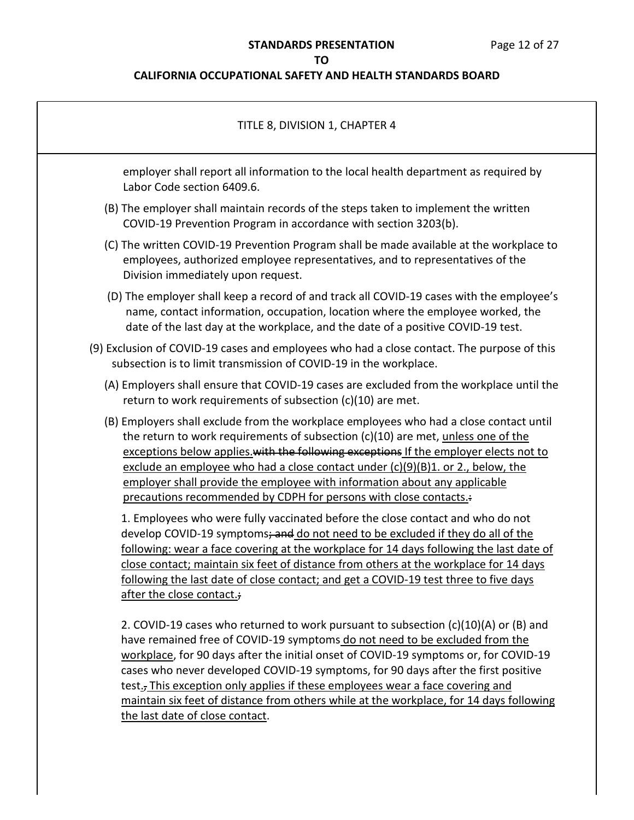# **STANDARDS PRESENTATION** Page 12 of 27

## **TO**

| TITLE 8, DIVISION 1, CHAPTER 4                                                                                                                                                                                                                                                                                                                                                                                                                                                                                                                                                 |
|--------------------------------------------------------------------------------------------------------------------------------------------------------------------------------------------------------------------------------------------------------------------------------------------------------------------------------------------------------------------------------------------------------------------------------------------------------------------------------------------------------------------------------------------------------------------------------|
| employer shall report all information to the local health department as required by<br>Labor Code section 6409.6.                                                                                                                                                                                                                                                                                                                                                                                                                                                              |
| (B) The employer shall maintain records of the steps taken to implement the written<br>COVID-19 Prevention Program in accordance with section 3203(b).                                                                                                                                                                                                                                                                                                                                                                                                                         |
| (C) The written COVID-19 Prevention Program shall be made available at the workplace to<br>employees, authorized employee representatives, and to representatives of the<br>Division immediately upon request.                                                                                                                                                                                                                                                                                                                                                                 |
| (D) The employer shall keep a record of and track all COVID-19 cases with the employee's<br>name, contact information, occupation, location where the employee worked, the<br>date of the last day at the workplace, and the date of a positive COVID-19 test.                                                                                                                                                                                                                                                                                                                 |
| (9) Exclusion of COVID-19 cases and employees who had a close contact. The purpose of this<br>subsection is to limit transmission of COVID-19 in the workplace.                                                                                                                                                                                                                                                                                                                                                                                                                |
| (A) Employers shall ensure that COVID-19 cases are excluded from the workplace until the<br>return to work requirements of subsection (c)(10) are met.                                                                                                                                                                                                                                                                                                                                                                                                                         |
| (B) Employers shall exclude from the workplace employees who had a close contact until<br>the return to work requirements of subsection (c)(10) are met, unless one of the<br>exceptions below applies with the following exceptions If the employer elects not to<br>exclude an employee who had a close contact under (c)(9)(B)1. or 2., below, the<br>employer shall provide the employee with information about any applicable<br>precautions recommended by CDPH for persons with close contacts.                                                                         |
| 1. Employees who were fully vaccinated before the close contact and who do not<br>develop COVID-19 symptoms; and do not need to be excluded if they do all of the<br>following: wear a face covering at the workplace for 14 days following the last date of<br>close contact: maintain six feet of distance from others at the workplace for 14 days<br>following the last date of close contact; and get a COVID-19 test three to five days<br>after the close contact.;                                                                                                     |
| 2. COVID-19 cases who returned to work pursuant to subsection $(c)(10)(A)$ or $(B)$ and<br>have remained free of COVID-19 symptoms do not need to be excluded from the<br>workplace, for 90 days after the initial onset of COVID-19 symptoms or, for COVID-19<br>cases who never developed COVID-19 symptoms, for 90 days after the first positive<br>test <sub>:</sub> This exception only applies if these employees wear a face covering and<br>maintain six feet of distance from others while at the workplace, for 14 days following<br>the last date of close contact. |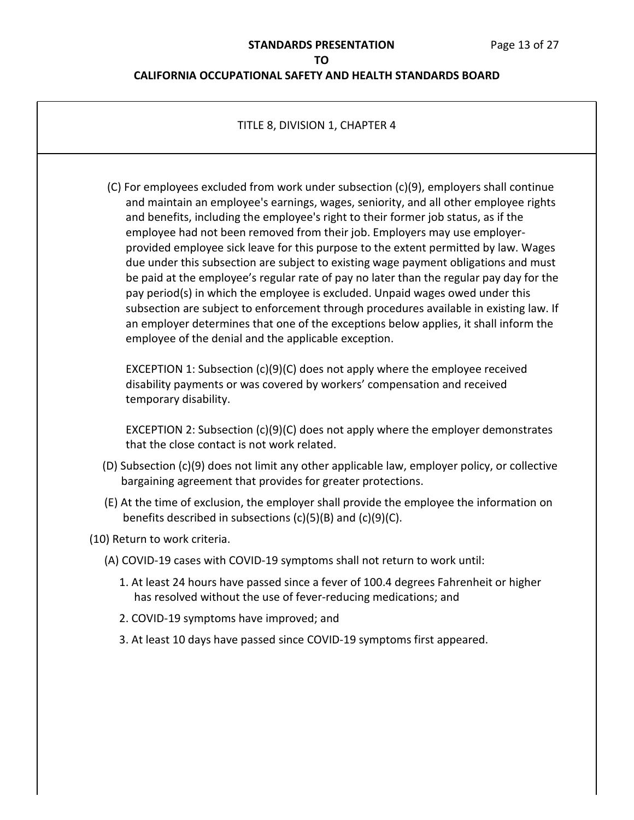| TITLE 8, DIVISION 1, CHAPTER 4                                                                                                                                                                                                                                                                                                                                                                                                                                                                                                                                                                                                                                                                                                                                                                                                                                                                                                                        |
|-------------------------------------------------------------------------------------------------------------------------------------------------------------------------------------------------------------------------------------------------------------------------------------------------------------------------------------------------------------------------------------------------------------------------------------------------------------------------------------------------------------------------------------------------------------------------------------------------------------------------------------------------------------------------------------------------------------------------------------------------------------------------------------------------------------------------------------------------------------------------------------------------------------------------------------------------------|
| (C) For employees excluded from work under subsection (c)(9), employers shall continue<br>and maintain an employee's earnings, wages, seniority, and all other employee rights<br>and benefits, including the employee's right to their former job status, as if the<br>employee had not been removed from their job. Employers may use employer-<br>provided employee sick leave for this purpose to the extent permitted by law. Wages<br>due under this subsection are subject to existing wage payment obligations and must<br>be paid at the employee's regular rate of pay no later than the regular pay day for the<br>pay period(s) in which the employee is excluded. Unpaid wages owed under this<br>subsection are subject to enforcement through procedures available in existing law. If<br>an employer determines that one of the exceptions below applies, it shall inform the<br>employee of the denial and the applicable exception. |
| EXCEPTION 1: Subsection (c)(9)(C) does not apply where the employee received<br>disability payments or was covered by workers' compensation and received<br>temporary disability.                                                                                                                                                                                                                                                                                                                                                                                                                                                                                                                                                                                                                                                                                                                                                                     |
| EXCEPTION 2: Subsection (c)(9)(C) does not apply where the employer demonstrates<br>that the close contact is not work related.                                                                                                                                                                                                                                                                                                                                                                                                                                                                                                                                                                                                                                                                                                                                                                                                                       |
| (D) Subsection (c)(9) does not limit any other applicable law, employer policy, or collective<br>bargaining agreement that provides for greater protections.                                                                                                                                                                                                                                                                                                                                                                                                                                                                                                                                                                                                                                                                                                                                                                                          |
| (E) At the time of exclusion, the employer shall provide the employee the information on<br>benefits described in subsections $(c)(5)(B)$ and $(c)(9)(C)$ .                                                                                                                                                                                                                                                                                                                                                                                                                                                                                                                                                                                                                                                                                                                                                                                           |
| (10) Return to work criteria.                                                                                                                                                                                                                                                                                                                                                                                                                                                                                                                                                                                                                                                                                                                                                                                                                                                                                                                         |
| (A) COVID-19 cases with COVID-19 symptoms shall not return to work until:                                                                                                                                                                                                                                                                                                                                                                                                                                                                                                                                                                                                                                                                                                                                                                                                                                                                             |
| 1. At least 24 hours have passed since a fever of 100.4 degrees Fahrenheit or higher<br>has resolved without the use of fever-reducing medications; and                                                                                                                                                                                                                                                                                                                                                                                                                                                                                                                                                                                                                                                                                                                                                                                               |
| 2. COVID-19 symptoms have improved; and                                                                                                                                                                                                                                                                                                                                                                                                                                                                                                                                                                                                                                                                                                                                                                                                                                                                                                               |
| 3. At least 10 days have passed since COVID-19 symptoms first appeared.                                                                                                                                                                                                                                                                                                                                                                                                                                                                                                                                                                                                                                                                                                                                                                                                                                                                               |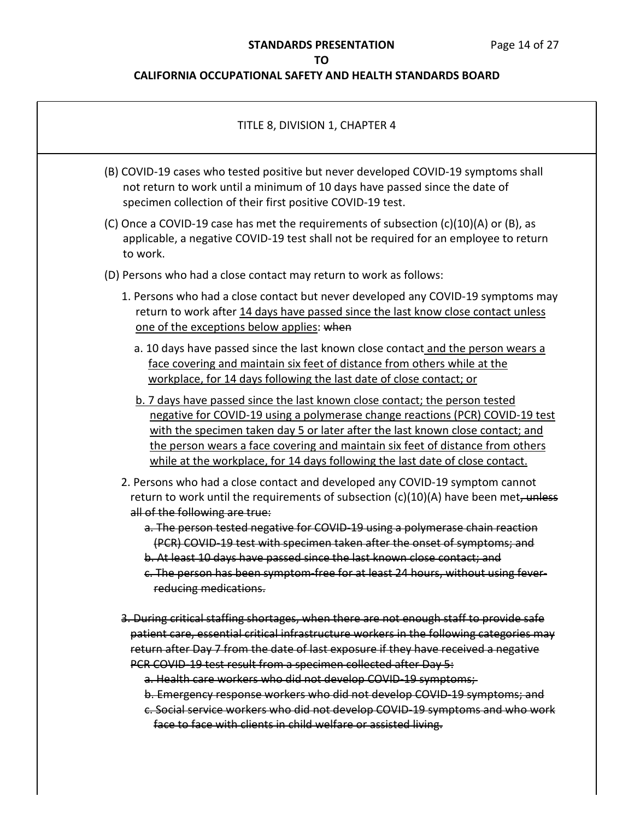# **STANDARDS PRESENTATION** Page 14 of 27

## **TO**

| TITLE 8, DIVISION 1, CHAPTER 4                                                                                                                                                                                                                                                                                                                                                                                    |  |
|-------------------------------------------------------------------------------------------------------------------------------------------------------------------------------------------------------------------------------------------------------------------------------------------------------------------------------------------------------------------------------------------------------------------|--|
| (B) COVID-19 cases who tested positive but never developed COVID-19 symptoms shall<br>not return to work until a minimum of 10 days have passed since the date of<br>specimen collection of their first positive COVID-19 test.                                                                                                                                                                                   |  |
| (C) Once a COVID-19 case has met the requirements of subsection $(c)(10)(A)$ or $(B)$ , as<br>applicable, a negative COVID-19 test shall not be required for an employee to return<br>to work.                                                                                                                                                                                                                    |  |
| (D) Persons who had a close contact may return to work as follows:                                                                                                                                                                                                                                                                                                                                                |  |
| 1. Persons who had a close contact but never developed any COVID-19 symptoms may<br>return to work after 14 days have passed since the last know close contact unless<br>one of the exceptions below applies: when                                                                                                                                                                                                |  |
| a. 10 days have passed since the last known close contact and the person wears a<br>face covering and maintain six feet of distance from others while at the<br>workplace, for 14 days following the last date of close contact; or                                                                                                                                                                               |  |
| b. 7 days have passed since the last known close contact; the person tested<br>negative for COVID-19 using a polymerase change reactions (PCR) COVID-19 test<br>with the specimen taken day 5 or later after the last known close contact; and<br>the person wears a face covering and maintain six feet of distance from others<br>while at the workplace, for 14 days following the last date of close contact. |  |
| 2. Persons who had a close contact and developed any COVID-19 symptom cannot<br>return to work until the requirements of subsection (c)(10)(A) have been met, unless<br>all of the following are true:                                                                                                                                                                                                            |  |
| a. The person tested negative for COVID-19 using a polymerase chain reaction<br>(PCR) COVID-19 test with specimen taken after the onset of symptoms; and                                                                                                                                                                                                                                                          |  |
| b. At least 10 days have passed since the last known close contact: and<br>c. The person has been symptom-free for at least 24 hours, without using fever-<br>reducing medications.                                                                                                                                                                                                                               |  |
|                                                                                                                                                                                                                                                                                                                                                                                                                   |  |
| 3. During critical staffing shortages, when there are not enough staff to provide safe                                                                                                                                                                                                                                                                                                                            |  |
| patient care, essential critical infrastructure workers in the following categories may                                                                                                                                                                                                                                                                                                                           |  |
| return after Day 7 from the date of last exposure if they have received a negative<br>PCR COVID-19 test result from a specimen collected after Day 5:                                                                                                                                                                                                                                                             |  |
| a. Health care workers who did not develop COVID-19 symptoms;                                                                                                                                                                                                                                                                                                                                                     |  |
| b. Emergency response workers who did not develop COVID 19 symptoms; and                                                                                                                                                                                                                                                                                                                                          |  |
| c. Social service workers who did not develop COVID-19 symptoms and who work                                                                                                                                                                                                                                                                                                                                      |  |
| face to face with clients in child welfare or assisted living.                                                                                                                                                                                                                                                                                                                                                    |  |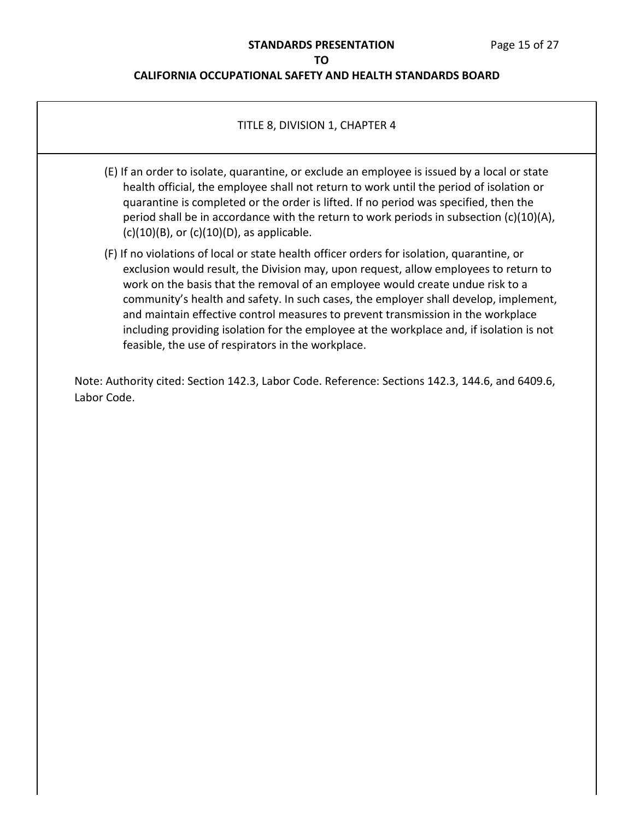### **CALIFORNIA OCCUPATIONAL SAFETY AND HEALTH STANDARDS BOARD**

### TITLE 8, DIVISION 1, CHAPTER 4

- (E) If an order to isolate, quarantine, or exclude an employee is issued by a local or state health official, the employee shall not return to work until the period of isolation or quarantine is completed or the order is lifted. If no period was specified, then the period shall be in accordance with the return to work periods in subsection  $(c)(10)(A)$ ,  $(c)(10)(B)$ , or  $(c)(10)(D)$ , as applicable.
- (F) If no violations of local or state health officer orders for isolation, quarantine, or exclusion would result, the Division may, upon request, allow employees to return to work on the basis that the removal of an employee would create undue risk to a community's health and safety. In such cases, the employer shall develop, implement, and maintain effective control measures to prevent transmission in the workplace including providing isolation for the employee at the workplace and, if isolation is not feasible, the use of respirators in the workplace.

Note: Authority cited: Section 142.3, Labor Code. Reference: Sections 142.3, 144.6, and 6409.6, Labor Code.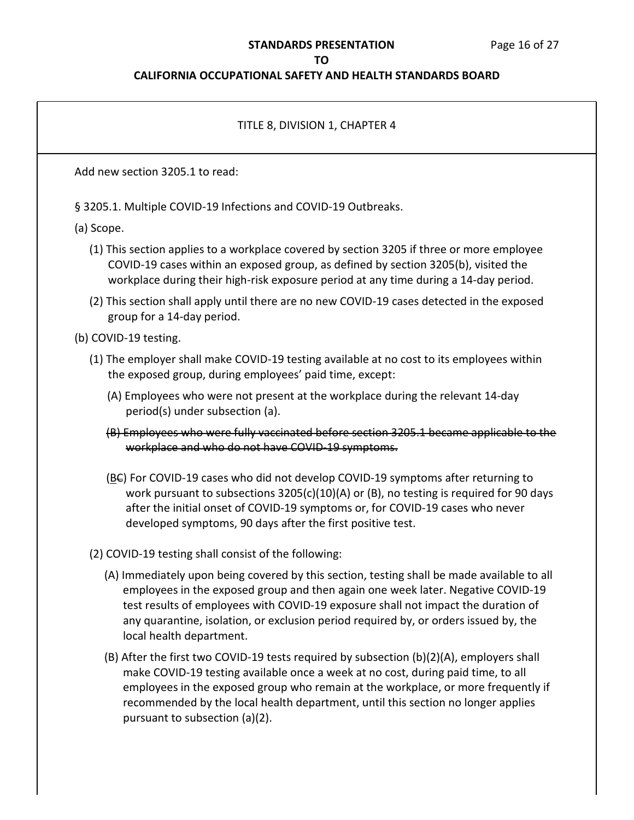### **STANDARDS PRESENTATION** Page 16 of 27

### **TO**

### **CALIFORNIA OCCUPATIONAL SAFETY AND HEALTH STANDARDS BOARD**

# TITLE 8, DIVISION 1, CHAPTER 4 Add new section 3205.1 to read: § 3205.1. Multiple COVID-19 Infections and COVID-19 Outbreaks. (a) Scope. (1) This section applies to a workplace covered by section 3205 if three or more employee COVID-19 cases within an exposed group, as defined by section 3205(b), visited the workplace during their high-risk exposure period at any time during a 14-day period. (2) This section shall apply until there are no new COVID-19 cases detected in the exposed group for a 14-day period. (b) COVID-19 testing. (1) The employer shall make COVID-19 testing available at no cost to its employees within the exposed group, during employees' paid time, except: (A) Employees who were not present at the workplace during the relevant 14-day period(s) under subsection (a). (B) Employees who were fully vaccinated before section 3205.1 became applicable to the workplace and who do not have COVID-19 symptoms. (BC) For COVID-19 cases who did not develop COVID-19 symptoms after returning to work pursuant to subsections 3205(c)(10)(A) or (B), no testing is required for 90 days after the initial onset of COVID-19 symptoms or, for COVID-19 cases who never developed symptoms, 90 days after the first positive test. (2) COVID-19 testing shall consist of the following: (A) Immediately upon being covered by this section, testing shall be made available to all employees in the exposed group and then again one week later. Negative COVID-19 test results of employees with COVID-19 exposure shall not impact the duration of any quarantine, isolation, or exclusion period required by, or orders issued by, the local health department. (B) After the first two COVID-19 tests required by subsection (b)(2)(A), employers shall make COVID-19 testing available once a week at no cost, during paid time, to all employees in the exposed group who remain at the workplace, or more frequently if recommended by the local health department, until this section no longer applies pursuant to subsection (a)(2).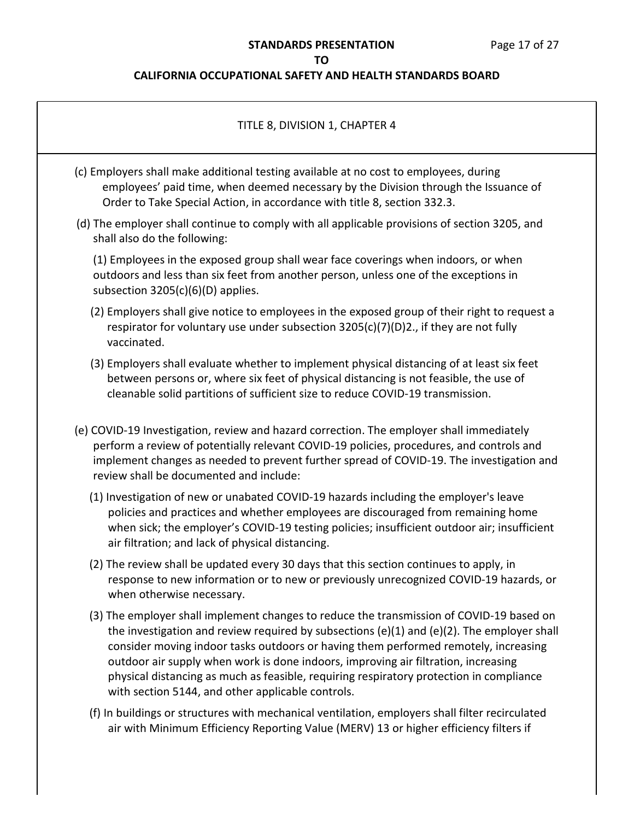## **CALIFORNIA OCCUPATIONAL SAFETY AND HEALTH STANDARDS BOARD**

| TITLE 8, DIVISION 1, CHAPTER 4                                                                                                                                                                                                                                                                                                                                                                                                                                                                                      |
|---------------------------------------------------------------------------------------------------------------------------------------------------------------------------------------------------------------------------------------------------------------------------------------------------------------------------------------------------------------------------------------------------------------------------------------------------------------------------------------------------------------------|
| (c) Employers shall make additional testing available at no cost to employees, during<br>employees' paid time, when deemed necessary by the Division through the Issuance of<br>Order to Take Special Action, in accordance with title 8, section 332.3.                                                                                                                                                                                                                                                            |
| (d) The employer shall continue to comply with all applicable provisions of section 3205, and<br>shall also do the following:                                                                                                                                                                                                                                                                                                                                                                                       |
| (1) Employees in the exposed group shall wear face coverings when indoors, or when<br>outdoors and less than six feet from another person, unless one of the exceptions in<br>subsection $3205(c)(6)(D)$ applies.                                                                                                                                                                                                                                                                                                   |
| (2) Employers shall give notice to employees in the exposed group of their right to request a<br>respirator for voluntary use under subsection 3205(c)(7)(D)2., if they are not fully<br>vaccinated.                                                                                                                                                                                                                                                                                                                |
| (3) Employers shall evaluate whether to implement physical distancing of at least six feet<br>between persons or, where six feet of physical distancing is not feasible, the use of<br>cleanable solid partitions of sufficient size to reduce COVID-19 transmission.                                                                                                                                                                                                                                               |
| (e) COVID-19 Investigation, review and hazard correction. The employer shall immediately<br>perform a review of potentially relevant COVID-19 policies, procedures, and controls and<br>implement changes as needed to prevent further spread of COVID-19. The investigation and<br>review shall be documented and include:                                                                                                                                                                                         |
| (1) Investigation of new or unabated COVID-19 hazards including the employer's leave<br>policies and practices and whether employees are discouraged from remaining home<br>when sick; the employer's COVID-19 testing policies; insufficient outdoor air; insufficient<br>air filtration; and lack of physical distancing.                                                                                                                                                                                         |
| (2) The review shall be updated every 30 days that this section continues to apply, in<br>response to new information or to new or previously unrecognized COVID-19 hazards, or<br>when otherwise necessary.                                                                                                                                                                                                                                                                                                        |
| (3) The employer shall implement changes to reduce the transmission of COVID-19 based on<br>the investigation and review required by subsections (e)(1) and (e)(2). The employer shall<br>consider moving indoor tasks outdoors or having them performed remotely, increasing<br>outdoor air supply when work is done indoors, improving air filtration, increasing<br>physical distancing as much as feasible, requiring respiratory protection in compliance<br>with section 5144, and other applicable controls. |
| (f) In buildings or structures with mechanical ventilation, employers shall filter recirculated                                                                                                                                                                                                                                                                                                                                                                                                                     |

air with Minimum Efficiency Reporting Value (MERV) 13 or higher efficiency filters if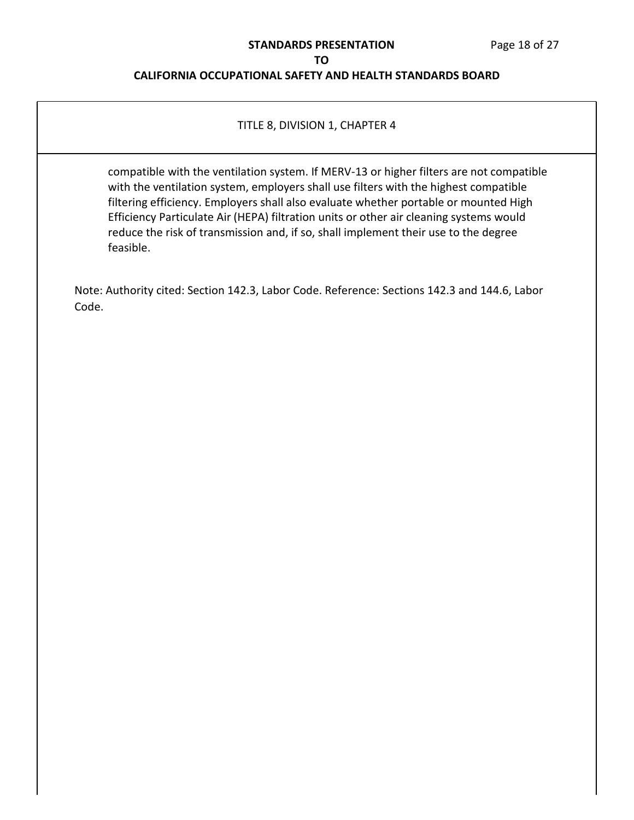### **STANDARDS PRESENTATION** Page 18 of 27

### **TO**

## **CALIFORNIA OCCUPATIONAL SAFETY AND HEALTH STANDARDS BOARD**

### TITLE 8, DIVISION 1, CHAPTER 4

compatible with the ventilation system. If MERV-13 or higher filters are not compatible with the ventilation system, employers shall use filters with the highest compatible filtering efficiency. Employers shall also evaluate whether portable or mounted High Efficiency Particulate Air (HEPA) filtration units or other air cleaning systems would reduce the risk of transmission and, if so, shall implement their use to the degree feasible.

Note: Authority cited: Section 142.3, Labor Code. Reference: Sections 142.3 and 144.6, Labor Code.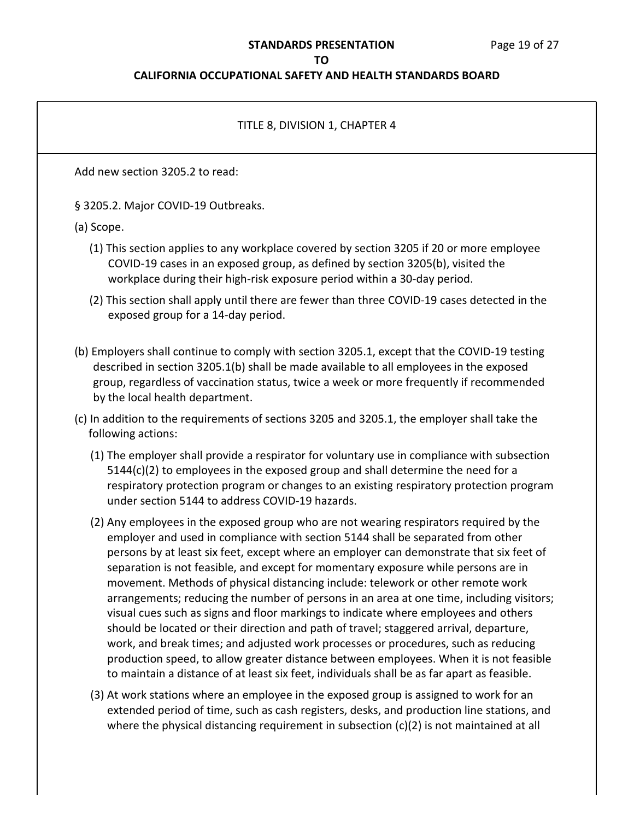### **STANDARDS PRESENTATION** Page 19 of 27

#### **TO**

### **CALIFORNIA OCCUPATIONAL SAFETY AND HEALTH STANDARDS BOARD**

# TITLE 8, DIVISION 1, CHAPTER 4 Add new section 3205.2 to read: § 3205.2. Major COVID-19 Outbreaks. (a) Scope. (1) This section applies to any workplace covered by section 3205 if 20 or more employee COVID-19 cases in an exposed group, as defined by section 3205(b), visited the workplace during their high-risk exposure period within a 30-day period. (2) This section shall apply until there are fewer than three COVID-19 cases detected in the exposed group for a 14-day period. (b) Employers shall continue to comply with section 3205.1, except that the COVID-19 testing described in section 3205.1(b) shall be made available to all employees in the exposed group, regardless of vaccination status, twice a week or more frequently if recommended by the local health department. (c) In addition to the requirements of sections 3205 and 3205.1, the employer shall take the following actions: (1) The employer shall provide a respirator for voluntary use in compliance with subsection 5144(c)(2) to employees in the exposed group and shall determine the need for a respiratory protection program or changes to an existing respiratory protection program under section 5144 to address COVID-19 hazards. (2) Any employees in the exposed group who are not wearing respirators required by the employer and used in compliance with section 5144 shall be separated from other persons by at least six feet, except where an employer can demonstrate that six feet of separation is not feasible, and except for momentary exposure while persons are in movement. Methods of physical distancing include: telework or other remote work arrangements; reducing the number of persons in an area at one time, including visitors; visual cues such as signs and floor markings to indicate where employees and others should be located or their direction and path of travel; staggered arrival, departure, work, and break times; and adjusted work processes or procedures, such as reducing production speed, to allow greater distance between employees. When it is not feasible to maintain a distance of at least six feet, individuals shall be as far apart as feasible.

(3) At work stations where an employee in the exposed group is assigned to work for an extended period of time, such as cash registers, desks, and production line stations, and where the physical distancing requirement in subsection (c)(2) is not maintained at all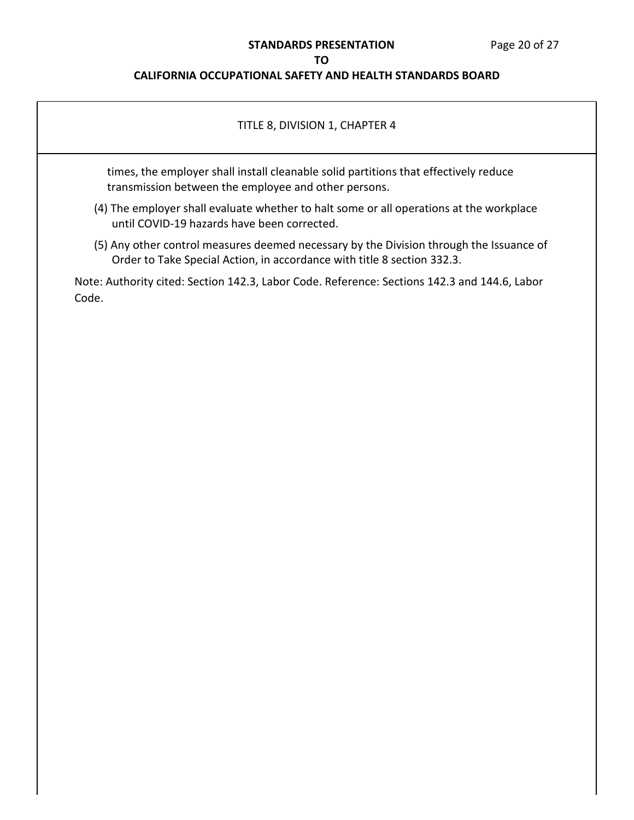### **STANDARDS PRESENTATION** Page 20 of 27

### **TO**

## **CALIFORNIA OCCUPATIONAL SAFETY AND HEALTH STANDARDS BOARD**

### TITLE 8, DIVISION 1, CHAPTER 4

times, the employer shall install cleanable solid partitions that effectively reduce transmission between the employee and other persons.

- (4) The employer shall evaluate whether to halt some or all operations at the workplace until COVID-19 hazards have been corrected.
- (5) Any other control measures deemed necessary by the Division through the Issuance of Order to Take Special Action, in accordance with title 8 section 332.3.

Note: Authority cited: Section 142.3, Labor Code. Reference: Sections 142.3 and 144.6, Labor Code.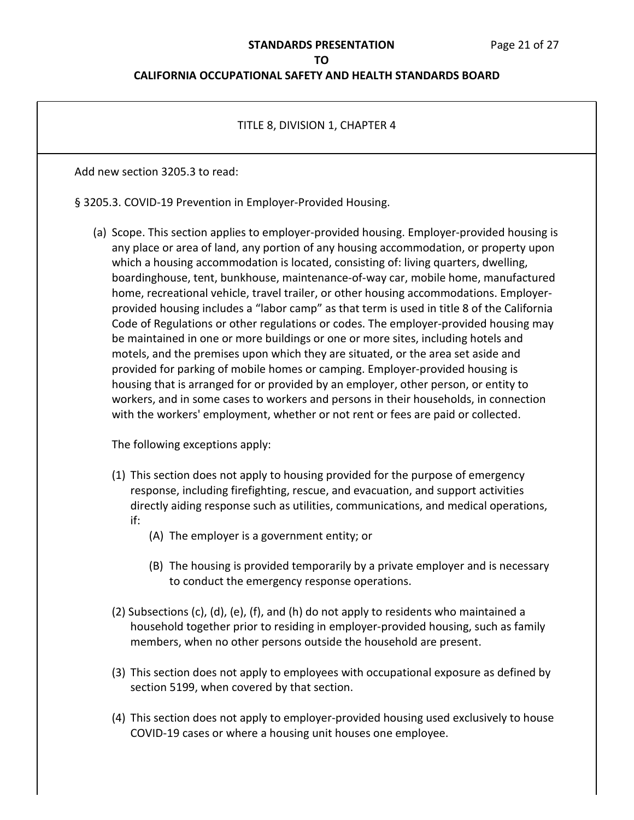### **STANDARDS PRESENTATION** Page 21 of 27

#### **TO**

### **CALIFORNIA OCCUPATIONAL SAFETY AND HEALTH STANDARDS BOARD**

### TITLE 8, DIVISION 1, CHAPTER 4

Add new section 3205.3 to read:

§ 3205.3. COVID-19 Prevention in Employer-Provided Housing.

(a) Scope. This section applies to employer-provided housing. Employer-provided housing is any place or area of land, any portion of any housing accommodation, or property upon which a housing accommodation is located, consisting of: living quarters, dwelling, boardinghouse, tent, bunkhouse, maintenance-of-way car, mobile home, manufactured home, recreational vehicle, travel trailer, or other housing accommodations. Employerprovided housing includes a "labor camp" as that term is used in title 8 of the California Code of Regulations or other regulations or codes. The employer-provided housing may be maintained in one or more buildings or one or more sites, including hotels and motels, and the premises upon which they are situated, or the area set aside and provided for parking of mobile homes or camping. Employer-provided housing is housing that is arranged for or provided by an employer, other person, or entity to workers, and in some cases to workers and persons in their households, in connection with the workers' employment, whether or not rent or fees are paid or collected.

The following exceptions apply:

- (1) This section does not apply to housing provided for the purpose of emergency response, including firefighting, rescue, and evacuation, and support activities directly aiding response such as utilities, communications, and medical operations, if:
	- (A) The employer is a government entity; or
	- (B) The housing is provided temporarily by a private employer and is necessary to conduct the emergency response operations.
- (2) Subsections (c), (d), (e), (f), and (h) do not apply to residents who maintained a household together prior to residing in employer-provided housing, such as family members, when no other persons outside the household are present.
- (3) This section does not apply to employees with occupational exposure as defined by section 5199, when covered by that section.
- (4) This section does not apply to employer-provided housing used exclusively to house COVID-19 cases or where a housing unit houses one employee.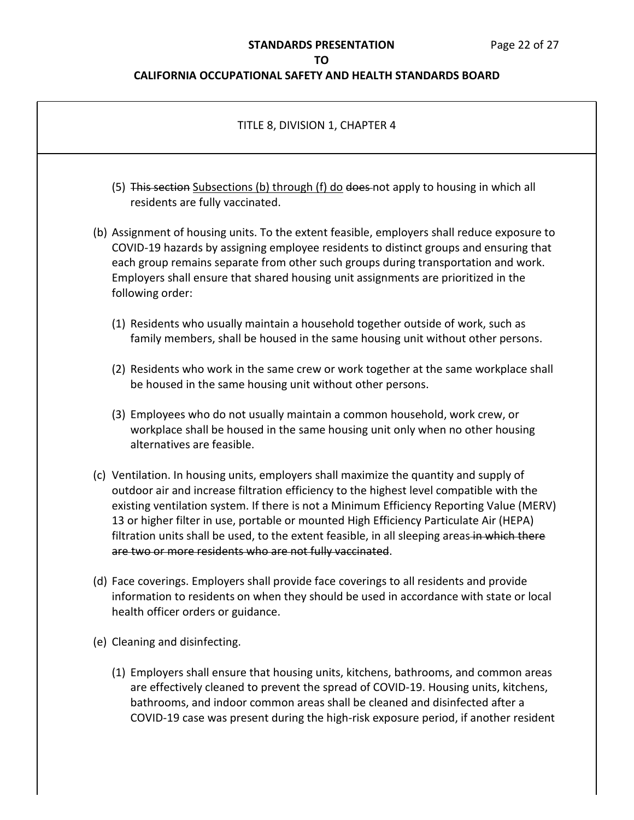### **STANDARDS PRESENTATION** Page 22 of 27

### **TO**

## **CALIFORNIA OCCUPATIONAL SAFETY AND HEALTH STANDARDS BOARD**

| TITLE 8, DIVISION 1, CHAPTER 4                                                                                                                                                                                                                                                                                                                                                                                                                                                                                                     |  |
|------------------------------------------------------------------------------------------------------------------------------------------------------------------------------------------------------------------------------------------------------------------------------------------------------------------------------------------------------------------------------------------------------------------------------------------------------------------------------------------------------------------------------------|--|
| (5) This section Subsections (b) through (f) do does-not apply to housing in which all<br>residents are fully vaccinated.                                                                                                                                                                                                                                                                                                                                                                                                          |  |
| (b) Assignment of housing units. To the extent feasible, employers shall reduce exposure to<br>COVID-19 hazards by assigning employee residents to distinct groups and ensuring that<br>each group remains separate from other such groups during transportation and work.<br>Employers shall ensure that shared housing unit assignments are prioritized in the<br>following order:                                                                                                                                               |  |
| (1) Residents who usually maintain a household together outside of work, such as<br>family members, shall be housed in the same housing unit without other persons.                                                                                                                                                                                                                                                                                                                                                                |  |
| (2) Residents who work in the same crew or work together at the same workplace shall<br>be housed in the same housing unit without other persons.                                                                                                                                                                                                                                                                                                                                                                                  |  |
| (3) Employees who do not usually maintain a common household, work crew, or<br>workplace shall be housed in the same housing unit only when no other housing<br>alternatives are feasible.                                                                                                                                                                                                                                                                                                                                         |  |
| (c) Ventilation. In housing units, employers shall maximize the quantity and supply of<br>outdoor air and increase filtration efficiency to the highest level compatible with the<br>existing ventilation system. If there is not a Minimum Efficiency Reporting Value (MERV)<br>13 or higher filter in use, portable or mounted High Efficiency Particulate Air (HEPA)<br>filtration units shall be used, to the extent feasible, in all sleeping areas-in which there<br>are two or more residents who are not fully vaccinated. |  |
| (d) Face coverings. Employers shall provide face coverings to all residents and provide<br>information to residents on when they should be used in accordance with state or local<br>health officer orders or guidance.                                                                                                                                                                                                                                                                                                            |  |
| (e) Cleaning and disinfecting.                                                                                                                                                                                                                                                                                                                                                                                                                                                                                                     |  |
| (1) Employers shall ensure that housing units, kitchens, bathrooms, and common areas                                                                                                                                                                                                                                                                                                                                                                                                                                               |  |

(1) Employers shall ensure that housing units, kitchens, bathrooms, and common areas are effectively cleaned to prevent the spread of COVID-19. Housing units, kitchens, bathrooms, and indoor common areas shall be cleaned and disinfected after a COVID-19 case was present during the high-risk exposure period, if another resident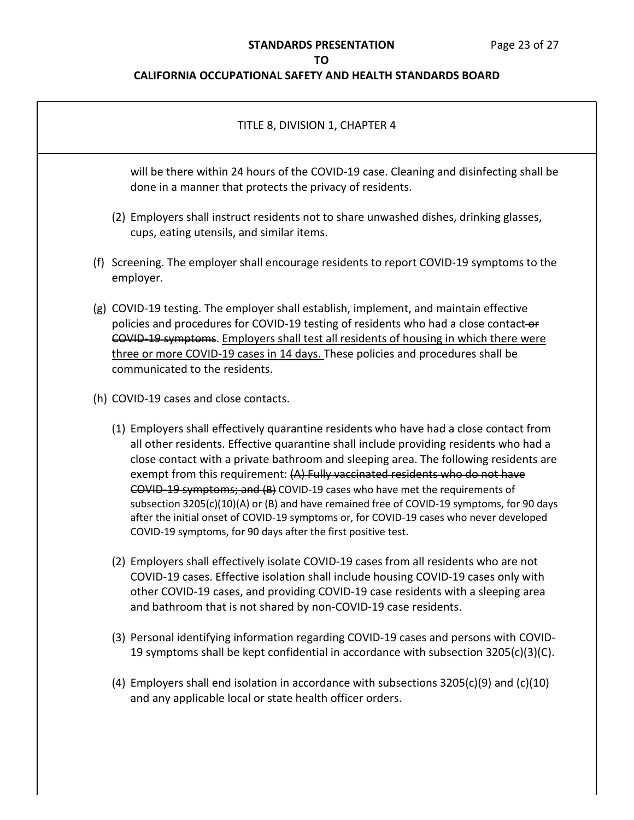# **STANDARDS PRESENTATION** Page 23 of 27

**TO**

| TITLE 8, DIVISION 1, CHAPTER 4                                                                                                                                                                                                                                                                                                                                                                                                                                                                                                                                                                                                                                                                 |
|------------------------------------------------------------------------------------------------------------------------------------------------------------------------------------------------------------------------------------------------------------------------------------------------------------------------------------------------------------------------------------------------------------------------------------------------------------------------------------------------------------------------------------------------------------------------------------------------------------------------------------------------------------------------------------------------|
| will be there within 24 hours of the COVID-19 case. Cleaning and disinfecting shall be<br>done in a manner that protects the privacy of residents.                                                                                                                                                                                                                                                                                                                                                                                                                                                                                                                                             |
| (2) Employers shall instruct residents not to share unwashed dishes, drinking glasses,<br>cups, eating utensils, and similar items.                                                                                                                                                                                                                                                                                                                                                                                                                                                                                                                                                            |
| (f) Screening. The employer shall encourage residents to report COVID-19 symptoms to the<br>employer.                                                                                                                                                                                                                                                                                                                                                                                                                                                                                                                                                                                          |
| (g) COVID-19 testing. The employer shall establish, implement, and maintain effective<br>policies and procedures for COVID-19 testing of residents who had a close contact-or<br>COVID 19 symptoms. Employers shall test all residents of housing in which there were<br>three or more COVID-19 cases in 14 days. These policies and procedures shall be<br>communicated to the residents.                                                                                                                                                                                                                                                                                                     |
| (h) COVID-19 cases and close contacts.                                                                                                                                                                                                                                                                                                                                                                                                                                                                                                                                                                                                                                                         |
| (1) Employers shall effectively quarantine residents who have had a close contact from<br>all other residents. Effective quarantine shall include providing residents who had a<br>close contact with a private bathroom and sleeping area. The following residents are<br>exempt from this requirement: (A) Fully vaccinated residents who do not have<br>COVID-19 symptoms; and (B) COVID-19 cases who have met the requirements of<br>subsection 3205(c)(10)(A) or (B) and have remained free of COVID-19 symptoms, for 90 days<br>after the initial onset of COVID-19 symptoms or, for COVID-19 cases who never developed<br>COVID-19 symptoms, for 90 days after the first positive test. |
| (2) Employers shall effectively isolate COVID-19 cases from all residents who are not<br>COVID-19 cases. Effective isolation shall include housing COVID-19 cases only with<br>other COVID-19 cases, and providing COVID-19 case residents with a sleeping area<br>and bathroom that is not shared by non-COVID-19 case residents.                                                                                                                                                                                                                                                                                                                                                             |
| (3) Personal identifying information regarding COVID-19 cases and persons with COVID-<br>19 symptoms shall be kept confidential in accordance with subsection 3205(c)(3)(C).                                                                                                                                                                                                                                                                                                                                                                                                                                                                                                                   |
| (4) Employers shall end isolation in accordance with subsections $3205(c)(9)$ and $(c)(10)$<br>and any applicable local or state health officer orders.                                                                                                                                                                                                                                                                                                                                                                                                                                                                                                                                        |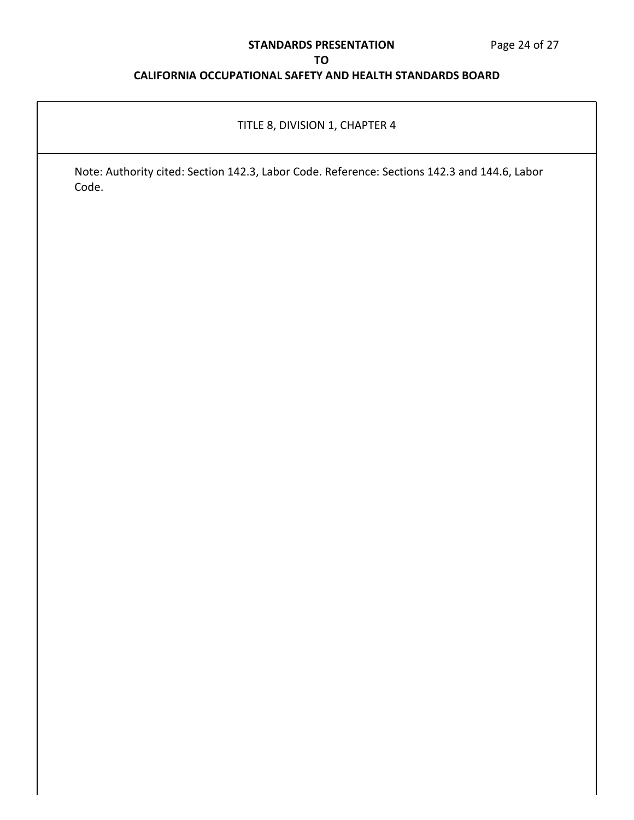# **STANDARDS PRESENTATION** Page 24 of 27

### **TO**

## **CALIFORNIA OCCUPATIONAL SAFETY AND HEALTH STANDARDS BOARD**

## TITLE 8, DIVISION 1, CHAPTER 4

Note: Authority cited: Section 142.3, Labor Code. Reference: Sections 142.3 and 144.6, Labor Code.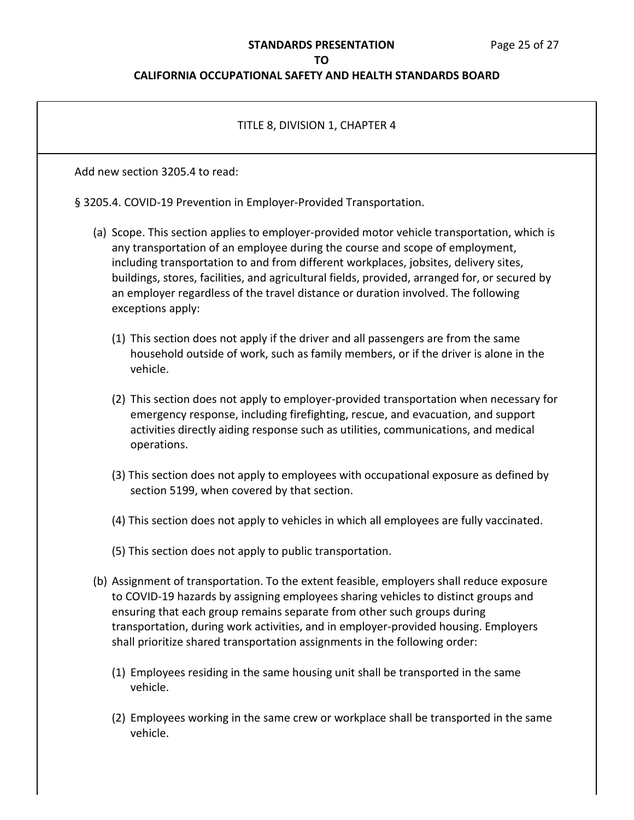# **STANDARDS PRESENTATION** Page 25 of 27

### **TO**

| TITLE 8, DIVISION 1, CHAPTER 4                                                                                                                                                                                                                                                                                                                                                                                                                                                 |  |  |
|--------------------------------------------------------------------------------------------------------------------------------------------------------------------------------------------------------------------------------------------------------------------------------------------------------------------------------------------------------------------------------------------------------------------------------------------------------------------------------|--|--|
| Add new section 3205.4 to read:                                                                                                                                                                                                                                                                                                                                                                                                                                                |  |  |
| § 3205.4. COVID-19 Prevention in Employer-Provided Transportation.                                                                                                                                                                                                                                                                                                                                                                                                             |  |  |
| (a) Scope. This section applies to employer-provided motor vehicle transportation, which is<br>any transportation of an employee during the course and scope of employment,<br>including transportation to and from different workplaces, jobsites, delivery sites,<br>buildings, stores, facilities, and agricultural fields, provided, arranged for, or secured by<br>an employer regardless of the travel distance or duration involved. The following<br>exceptions apply: |  |  |
| (1) This section does not apply if the driver and all passengers are from the same<br>household outside of work, such as family members, or if the driver is alone in the<br>vehicle.                                                                                                                                                                                                                                                                                          |  |  |
| (2) This section does not apply to employer-provided transportation when necessary for<br>emergency response, including firefighting, rescue, and evacuation, and support<br>activities directly aiding response such as utilities, communications, and medical<br>operations.                                                                                                                                                                                                 |  |  |
| (3) This section does not apply to employees with occupational exposure as defined by<br>section 5199, when covered by that section.                                                                                                                                                                                                                                                                                                                                           |  |  |
| (4) This section does not apply to vehicles in which all employees are fully vaccinated.                                                                                                                                                                                                                                                                                                                                                                                       |  |  |
| (5) This section does not apply to public transportation.                                                                                                                                                                                                                                                                                                                                                                                                                      |  |  |
| (b) Assignment of transportation. To the extent feasible, employers shall reduce exposure<br>to COVID-19 hazards by assigning employees sharing vehicles to distinct groups and<br>ensuring that each group remains separate from other such groups during<br>transportation, during work activities, and in employer-provided housing. Employers<br>shall prioritize shared transportation assignments in the following order:                                                |  |  |
| (1) Employees residing in the same housing unit shall be transported in the same<br>vehicle.                                                                                                                                                                                                                                                                                                                                                                                   |  |  |
| (2) Employees working in the same crew or workplace shall be transported in the same<br>vehicle.                                                                                                                                                                                                                                                                                                                                                                               |  |  |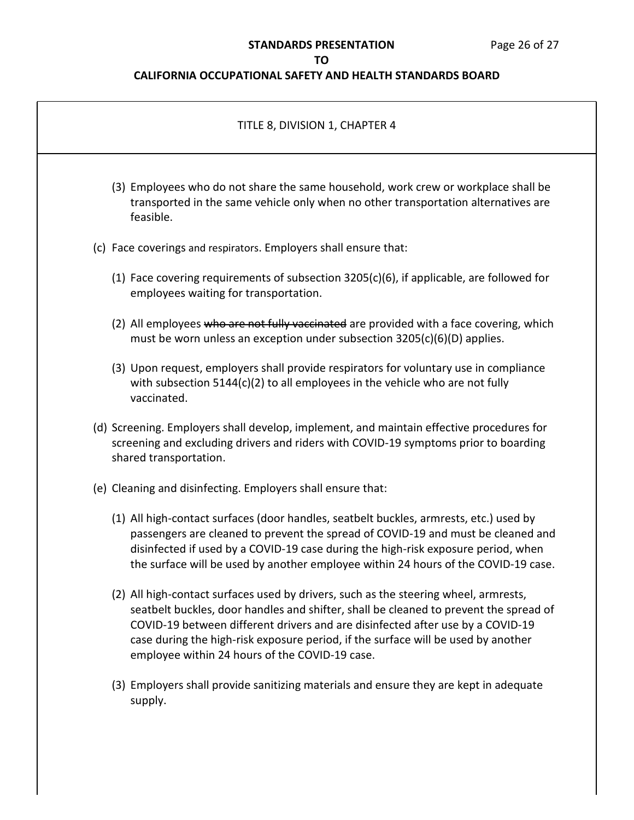# **STANDARDS PRESENTATION** Page 26 of 27

## **TO**

| TITLE 8, DIVISION 1, CHAPTER 4                                                                                                                                                                                                                                                                                                                                                                         |
|--------------------------------------------------------------------------------------------------------------------------------------------------------------------------------------------------------------------------------------------------------------------------------------------------------------------------------------------------------------------------------------------------------|
| (3) Employees who do not share the same household, work crew or workplace shall be<br>transported in the same vehicle only when no other transportation alternatives are<br>feasible.                                                                                                                                                                                                                  |
| (c) Face coverings and respirators. Employers shall ensure that:                                                                                                                                                                                                                                                                                                                                       |
| (1) Face covering requirements of subsection $3205(c)(6)$ , if applicable, are followed for<br>employees waiting for transportation.                                                                                                                                                                                                                                                                   |
| (2) All employees who are not fully vaccinated are provided with a face covering, which<br>must be worn unless an exception under subsection 3205(c)(6)(D) applies.                                                                                                                                                                                                                                    |
| (3) Upon request, employers shall provide respirators for voluntary use in compliance<br>with subsection $5144(c)(2)$ to all employees in the vehicle who are not fully<br>vaccinated.                                                                                                                                                                                                                 |
| (d) Screening. Employers shall develop, implement, and maintain effective procedures for<br>screening and excluding drivers and riders with COVID-19 symptoms prior to boarding<br>shared transportation.                                                                                                                                                                                              |
| (e) Cleaning and disinfecting. Employers shall ensure that:                                                                                                                                                                                                                                                                                                                                            |
| (1) All high-contact surfaces (door handles, seatbelt buckles, armrests, etc.) used by<br>passengers are cleaned to prevent the spread of COVID-19 and must be cleaned and<br>disinfected if used by a COVID-19 case during the high-risk exposure period, when<br>the surface will be used by another employee within 24 hours of the COVID-19 case.                                                  |
| (2) All high-contact surfaces used by drivers, such as the steering wheel, armrests,<br>seatbelt buckles, door handles and shifter, shall be cleaned to prevent the spread of<br>COVID-19 between different drivers and are disinfected after use by a COVID-19<br>case during the high-risk exposure period, if the surface will be used by another<br>employee within 24 hours of the COVID-19 case. |
| (3) Employers shall provide sanitizing materials and ensure they are kept in adequate<br>supply.                                                                                                                                                                                                                                                                                                       |